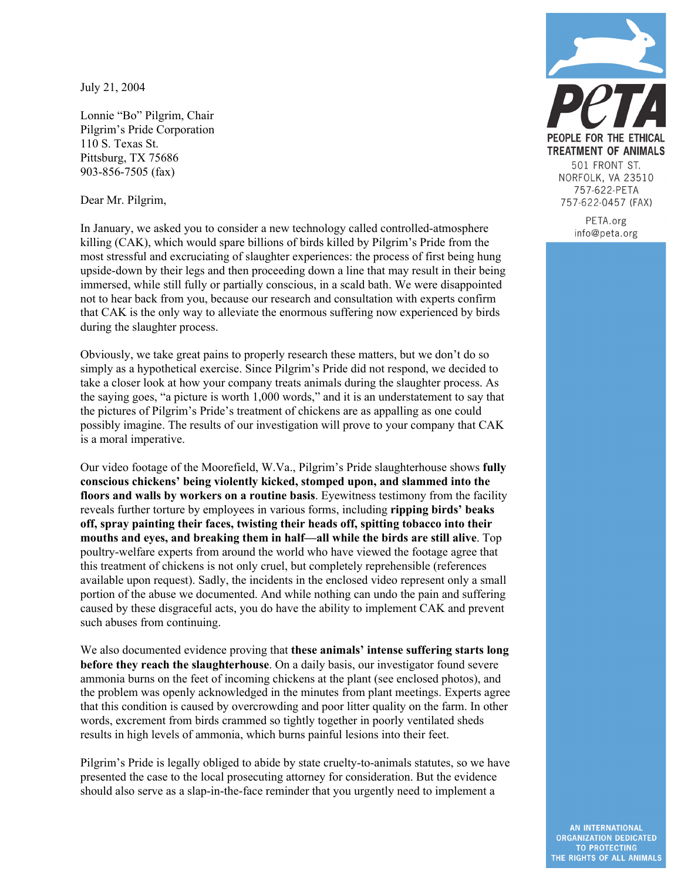July 21, 2004

Lonnie "Bo" Pilgrim, Chair Pilgrim's Pride Corporation 110 S. Texas St. Pittsburg, TX 75686 903-856-7505 (fax)

Dear Mr. Pilgrim,

In January, we asked you to consider a new technology called controlled-atmosphere killing (CAK), which would spare billions of birds killed by Pilgrim's Pride from the most stressful and excruciating of slaughter experiences: the process of first being hung upside-down by their legs and then proceeding down a line that may result in their being immersed, while still fully or partially conscious, in a scald bath. We were disappointed not to hear back from you, because our research and consultation with experts confirm that CAK is the only way to alleviate the enormous suffering now experienced by birds during the slaughter process.

Obviously, we take great pains to properly research these matters, but we don't do so simply as a hypothetical exercise. Since Pilgrim's Pride did not respond, we decided to take a closer look at how your company treats animals during the slaughter process. As the saying goes, "a picture is worth 1,000 words," and it is an understatement to say that the pictures of Pilgrim's Pride's treatment of chickens are as appalling as one could possibly imagine. The results of our investigation will prove to your company that CAK is a moral imperative.

Our video footage of the Moorefield, W.Va., Pilgrim's Pride slaughterhouse shows **fully conscious chickens' being violently kicked, stomped upon, and slammed into the floors and walls by workers on a routine basis**. Eyewitness testimony from the facility reveals further torture by employees in various forms, including **ripping birds' beaks off, spray painting their faces, twisting their heads off, spitting tobacco into their mouths and eyes, and breaking them in half—all while the birds are still alive**. Top poultry-welfare experts from around the world who have viewed the footage agree that this treatment of chickens is not only cruel, but completely reprehensible (references available upon request). Sadly, the incidents in the enclosed video represent only a small portion of the abuse we documented. And while nothing can undo the pain and suffering caused by these disgraceful acts, you do have the ability to implement CAK and prevent such abuses from continuing.

We also documented evidence proving that **these animals' intense suffering starts long before they reach the slaughterhouse**. On a daily basis, our investigator found severe ammonia burns on the feet of incoming chickens at the plant (see enclosed photos), and the problem was openly acknowledged in the minutes from plant meetings. Experts agree that this condition is caused by overcrowding and poor litter quality on the farm. In other words, excrement from birds crammed so tightly together in poorly ventilated sheds results in high levels of ammonia, which burns painful lesions into their feet.

Pilgrim's Pride is legally obliged to abide by state cruelty-to-animals statutes, so we have presented the case to the local prosecuting attorney for consideration. But the evidence should also serve as a slap-in-the-face reminder that you urgently need to implement a



PETA.org info@peta.org

AN INTERNATIONAL **ORGANIZATION DEDICATED TO PROTECTING** THE RIGHTS OF ALL ANIMALS